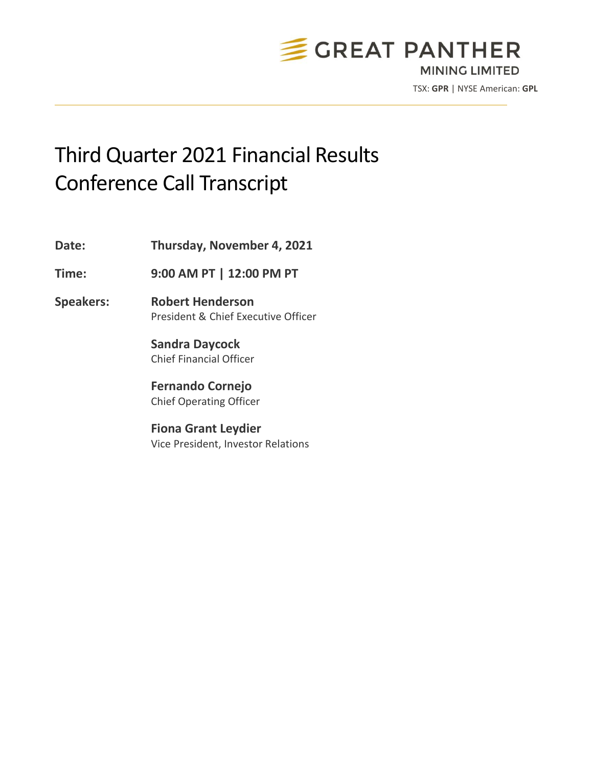

TSX: **GPR** | NYSE American: **GPL**

# Third Quarter 2021 Financial Results Conference Call Transcript

**Date: Thursday, November 4, 2021**

**Time: 9:00 AM PT | 12:00 PM PT**

**Speakers: Robert Henderson** President & Chief Executive Officer

> **Sandra Daycock** Chief Financial Officer

**Fernando Cornejo** Chief Operating Officer

**Fiona Grant Leydier** Vice President, Investor Relations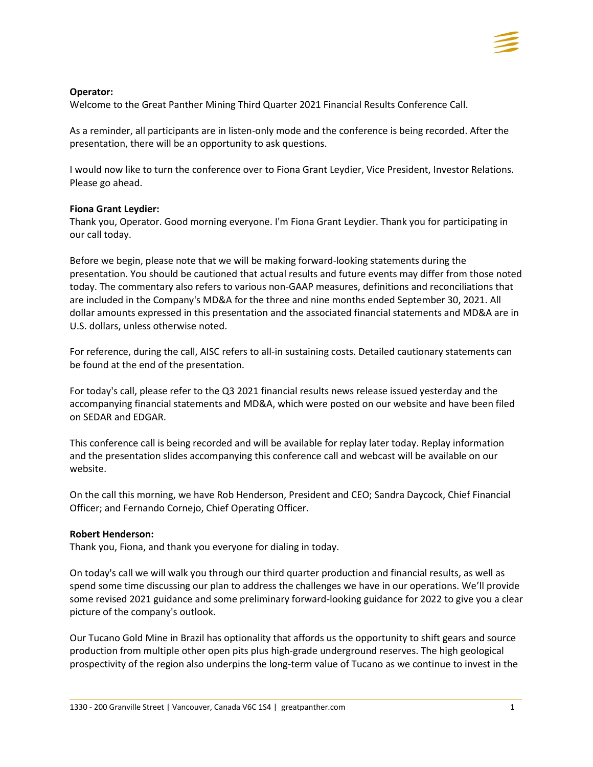# **Operator:**

Welcome to the Great Panther Mining Third Quarter 2021 Financial Results Conference Call.

As a reminder, all participants are in listen-only mode and the conference is being recorded. After the presentation, there will be an opportunity to ask questions.

I would now like to turn the conference over to Fiona Grant Leydier, Vice President, Investor Relations. Please go ahead.

# **Fiona Grant Leydier:**

Thank you, Operator. Good morning everyone. I'm Fiona Grant Leydier. Thank you for participating in our call today.

Before we begin, please note that we will be making forward-looking statements during the presentation. You should be cautioned that actual results and future events may differ from those noted today. The commentary also refers to various non-GAAP measures, definitions and reconciliations that are included in the Company's MD&A for the three and nine months ended September 30, 2021. All dollar amounts expressed in this presentation and the associated financial statements and MD&A are in U.S. dollars, unless otherwise noted.

For reference, during the call, AISC refers to all-in sustaining costs. Detailed cautionary statements can be found at the end of the presentation.

For today's call, please refer to the Q3 2021 financial results news release issued yesterday and the accompanying financial statements and MD&A, which were posted on our website and have been filed on SEDAR and EDGAR.

This conference call is being recorded and will be available for replay later today. Replay information and the presentation slides accompanying this conference call and webcast will be available on our website.

On the call this morning, we have Rob Henderson, President and CEO; Sandra Daycock, Chief Financial Officer; and Fernando Cornejo, Chief Operating Officer.

# **Robert Henderson:**

Thank you, Fiona, and thank you everyone for dialing in today.

On today's call we will walk you through our third quarter production and financial results, as well as spend some time discussing our plan to address the challenges we have in our operations. We'll provide some revised 2021 guidance and some preliminary forward-looking guidance for 2022 to give you a clear picture of the company's outlook.

Our Tucano Gold Mine in Brazil has optionality that affords us the opportunity to shift gears and source production from multiple other open pits plus high-grade underground reserves. The high geological prospectivity of the region also underpins the long-term value of Tucano as we continue to invest in the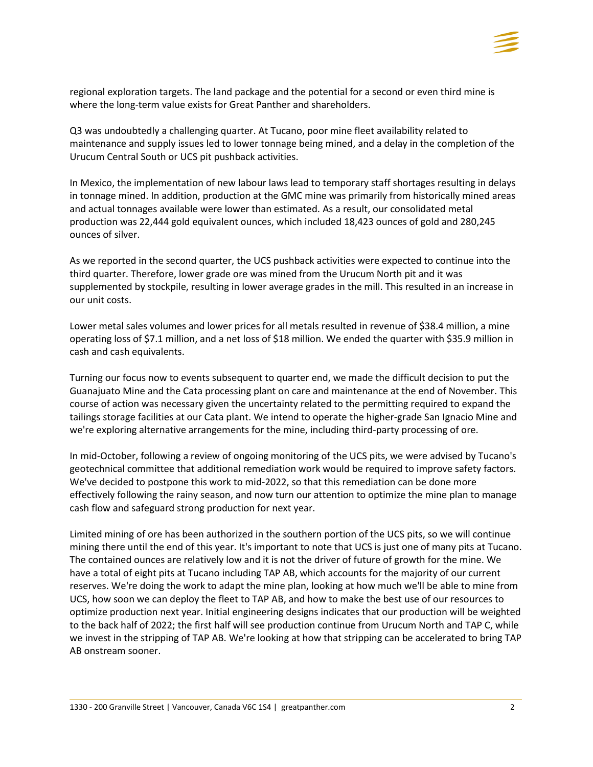

regional exploration targets. The land package and the potential for a second or even third mine is where the long-term value exists for Great Panther and shareholders.

Q3 was undoubtedly a challenging quarter. At Tucano, poor mine fleet availability related to maintenance and supply issues led to lower tonnage being mined, and a delay in the completion of the Urucum Central South or UCS pit pushback activities.

In Mexico, the implementation of new labour laws lead to temporary staff shortages resulting in delays in tonnage mined. In addition, production at the GMC mine was primarily from historically mined areas and actual tonnages available were lower than estimated. As a result, our consolidated metal production was 22,444 gold equivalent ounces, which included 18,423 ounces of gold and 280,245 ounces of silver.

As we reported in the second quarter, the UCS pushback activities were expected to continue into the third quarter. Therefore, lower grade ore was mined from the Urucum North pit and it was supplemented by stockpile, resulting in lower average grades in the mill. This resulted in an increase in our unit costs.

Lower metal sales volumes and lower prices for all metals resulted in revenue of \$38.4 million, a mine operating loss of \$7.1 million, and a net loss of \$18 million. We ended the quarter with \$35.9 million in cash and cash equivalents.

Turning our focus now to events subsequent to quarter end, we made the difficult decision to put the Guanajuato Mine and the Cata processing plant on care and maintenance at the end of November. This course of action was necessary given the uncertainty related to the permitting required to expand the tailings storage facilities at our Cata plant. We intend to operate the higher-grade San Ignacio Mine and we're exploring alternative arrangements for the mine, including third-party processing of ore.

In mid-October, following a review of ongoing monitoring of the UCS pits, we were advised by Tucano's geotechnical committee that additional remediation work would be required to improve safety factors. We've decided to postpone this work to mid-2022, so that this remediation can be done more effectively following the rainy season, and now turn our attention to optimize the mine plan to manage cash flow and safeguard strong production for next year.

Limited mining of ore has been authorized in the southern portion of the UCS pits, so we will continue mining there until the end of this year. It's important to note that UCS is just one of many pits at Tucano. The contained ounces are relatively low and it is not the driver of future of growth for the mine. We have a total of eight pits at Tucano including TAP AB, which accounts for the majority of our current reserves. We're doing the work to adapt the mine plan, looking at how much we'll be able to mine from UCS, how soon we can deploy the fleet to TAP AB, and how to make the best use of our resources to optimize production next year. Initial engineering designs indicates that our production will be weighted to the back half of 2022; the first half will see production continue from Urucum North and TAP C, while we invest in the stripping of TAP AB. We're looking at how that stripping can be accelerated to bring TAP AB onstream sooner.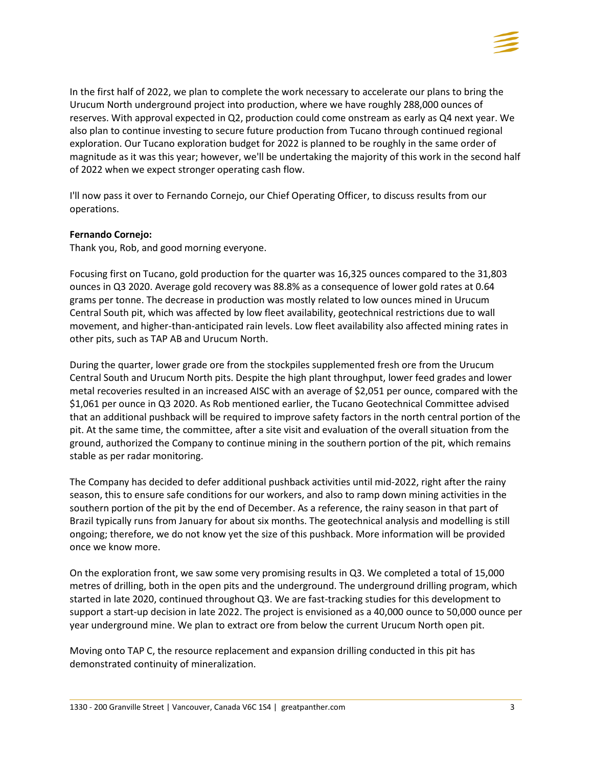

In the first half of 2022, we plan to complete the work necessary to accelerate our plans to bring the Urucum North underground project into production, where we have roughly 288,000 ounces of reserves. With approval expected in Q2, production could come onstream as early as Q4 next year. We also plan to continue investing to secure future production from Tucano through continued regional exploration. Our Tucano exploration budget for 2022 is planned to be roughly in the same order of magnitude as it was this year; however, we'll be undertaking the majority of this work in the second half of 2022 when we expect stronger operating cash flow.

I'll now pass it over to Fernando Cornejo, our Chief Operating Officer, to discuss results from our operations.

## **Fernando Cornejo:**

Thank you, Rob, and good morning everyone.

Focusing first on Tucano, gold production for the quarter was 16,325 ounces compared to the 31,803 ounces in Q3 2020. Average gold recovery was 88.8% as a consequence of lower gold rates at 0.64 grams per tonne. The decrease in production was mostly related to low ounces mined in Urucum Central South pit, which was affected by low fleet availability, geotechnical restrictions due to wall movement, and higher-than-anticipated rain levels. Low fleet availability also affected mining rates in other pits, such as TAP AB and Urucum North.

During the quarter, lower grade ore from the stockpiles supplemented fresh ore from the Urucum Central South and Urucum North pits. Despite the high plant throughput, lower feed grades and lower metal recoveries resulted in an increased AISC with an average of \$2,051 per ounce, compared with the \$1,061 per ounce in Q3 2020. As Rob mentioned earlier, the Tucano Geotechnical Committee advised that an additional pushback will be required to improve safety factors in the north central portion of the pit. At the same time, the committee, after a site visit and evaluation of the overall situation from the ground, authorized the Company to continue mining in the southern portion of the pit, which remains stable as per radar monitoring.

The Company has decided to defer additional pushback activities until mid-2022, right after the rainy season, this to ensure safe conditions for our workers, and also to ramp down mining activities in the southern portion of the pit by the end of December. As a reference, the rainy season in that part of Brazil typically runs from January for about six months. The geotechnical analysis and modelling is still ongoing; therefore, we do not know yet the size of this pushback. More information will be provided once we know more.

On the exploration front, we saw some very promising results in Q3. We completed a total of 15,000 metres of drilling, both in the open pits and the underground. The underground drilling program, which started in late 2020, continued throughout Q3. We are fast-tracking studies for this development to support a start-up decision in late 2022. The project is envisioned as a 40,000 ounce to 50,000 ounce per year underground mine. We plan to extract ore from below the current Urucum North open pit.

Moving onto TAP C, the resource replacement and expansion drilling conducted in this pit has demonstrated continuity of mineralization.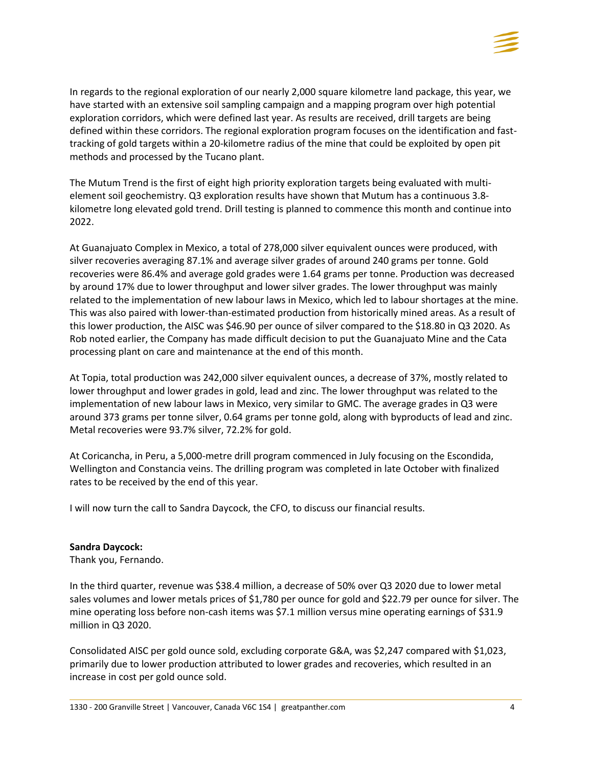

In regards to the regional exploration of our nearly 2,000 square kilometre land package, this year, we have started with an extensive soil sampling campaign and a mapping program over high potential exploration corridors, which were defined last year. As results are received, drill targets are being defined within these corridors. The regional exploration program focuses on the identification and fasttracking of gold targets within a 20-kilometre radius of the mine that could be exploited by open pit methods and processed by the Tucano plant.

The Mutum Trend is the first of eight high priority exploration targets being evaluated with multielement soil geochemistry. Q3 exploration results have shown that Mutum has a continuous 3.8 kilometre long elevated gold trend. Drill testing is planned to commence this month and continue into 2022.

At Guanajuato Complex in Mexico, a total of 278,000 silver equivalent ounces were produced, with silver recoveries averaging 87.1% and average silver grades of around 240 grams per tonne. Gold recoveries were 86.4% and average gold grades were 1.64 grams per tonne. Production was decreased by around 17% due to lower throughput and lower silver grades. The lower throughput was mainly related to the implementation of new labour laws in Mexico, which led to labour shortages at the mine. This was also paired with lower-than-estimated production from historically mined areas. As a result of this lower production, the AISC was \$46.90 per ounce of silver compared to the \$18.80 in Q3 2020. As Rob noted earlier, the Company has made difficult decision to put the Guanajuato Mine and the Cata processing plant on care and maintenance at the end of this month.

At Topia, total production was 242,000 silver equivalent ounces, a decrease of 37%, mostly related to lower throughput and lower grades in gold, lead and zinc. The lower throughput was related to the implementation of new labour laws in Mexico, very similar to GMC. The average grades in Q3 were around 373 grams per tonne silver, 0.64 grams per tonne gold, along with byproducts of lead and zinc. Metal recoveries were 93.7% silver, 72.2% for gold.

At Coricancha, in Peru, a 5,000-metre drill program commenced in July focusing on the Escondida, Wellington and Constancia veins. The drilling program was completed in late October with finalized rates to be received by the end of this year.

I will now turn the call to Sandra Daycock, the CFO, to discuss our financial results.

### **Sandra Daycock:**

Thank you, Fernando.

In the third quarter, revenue was \$38.4 million, a decrease of 50% over Q3 2020 due to lower metal sales volumes and lower metals prices of \$1,780 per ounce for gold and \$22.79 per ounce for silver. The mine operating loss before non-cash items was \$7.1 million versus mine operating earnings of \$31.9 million in Q3 2020.

Consolidated AISC per gold ounce sold, excluding corporate G&A, was \$2,247 compared with \$1,023, primarily due to lower production attributed to lower grades and recoveries, which resulted in an increase in cost per gold ounce sold.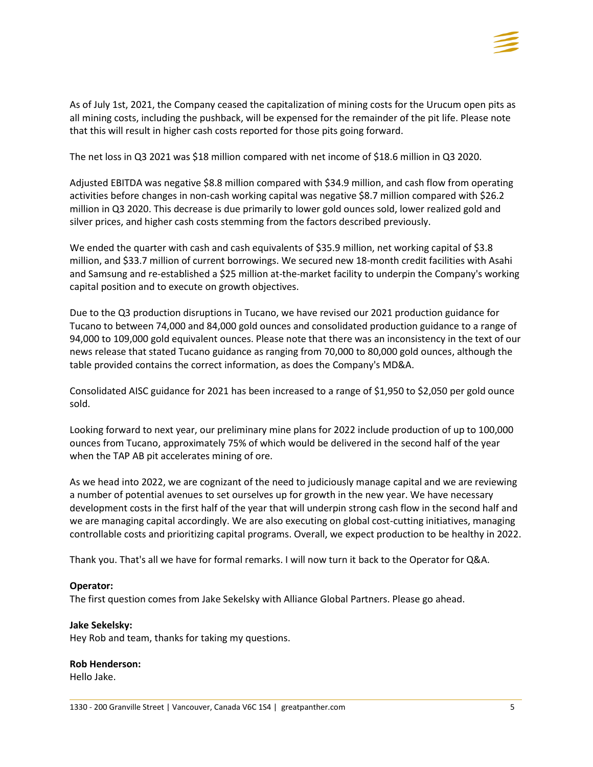

As of July 1st, 2021, the Company ceased the capitalization of mining costs for the Urucum open pits as all mining costs, including the pushback, will be expensed for the remainder of the pit life. Please note that this will result in higher cash costs reported for those pits going forward.

The net loss in Q3 2021 was \$18 million compared with net income of \$18.6 million in Q3 2020.

Adjusted EBITDA was negative \$8.8 million compared with \$34.9 million, and cash flow from operating activities before changes in non-cash working capital was negative \$8.7 million compared with \$26.2 million in Q3 2020. This decrease is due primarily to lower gold ounces sold, lower realized gold and silver prices, and higher cash costs stemming from the factors described previously.

We ended the quarter with cash and cash equivalents of \$35.9 million, net working capital of \$3.8 million, and \$33.7 million of current borrowings. We secured new 18-month credit facilities with Asahi and Samsung and re-established a \$25 million at-the-market facility to underpin the Company's working capital position and to execute on growth objectives.

Due to the Q3 production disruptions in Tucano, we have revised our 2021 production guidance for Tucano to between 74,000 and 84,000 gold ounces and consolidated production guidance to a range of 94,000 to 109,000 gold equivalent ounces. Please note that there was an inconsistency in the text of our news release that stated Tucano guidance as ranging from 70,000 to 80,000 gold ounces, although the table provided contains the correct information, as does the Company's MD&A.

Consolidated AISC guidance for 2021 has been increased to a range of \$1,950 to \$2,050 per gold ounce sold.

Looking forward to next year, our preliminary mine plans for 2022 include production of up to 100,000 ounces from Tucano, approximately 75% of which would be delivered in the second half of the year when the TAP AB pit accelerates mining of ore.

As we head into 2022, we are cognizant of the need to judiciously manage capital and we are reviewing a number of potential avenues to set ourselves up for growth in the new year. We have necessary development costs in the first half of the year that will underpin strong cash flow in the second half and we are managing capital accordingly. We are also executing on global cost-cutting initiatives, managing controllable costs and prioritizing capital programs. Overall, we expect production to be healthy in 2022.

Thank you. That's all we have for formal remarks. I will now turn it back to the Operator for Q&A.

# **Operator:**

The first question comes from Jake Sekelsky with Alliance Global Partners. Please go ahead.

# **Jake Sekelsky:**

Hey Rob and team, thanks for taking my questions.

# **Rob Henderson:**

Hello Jake.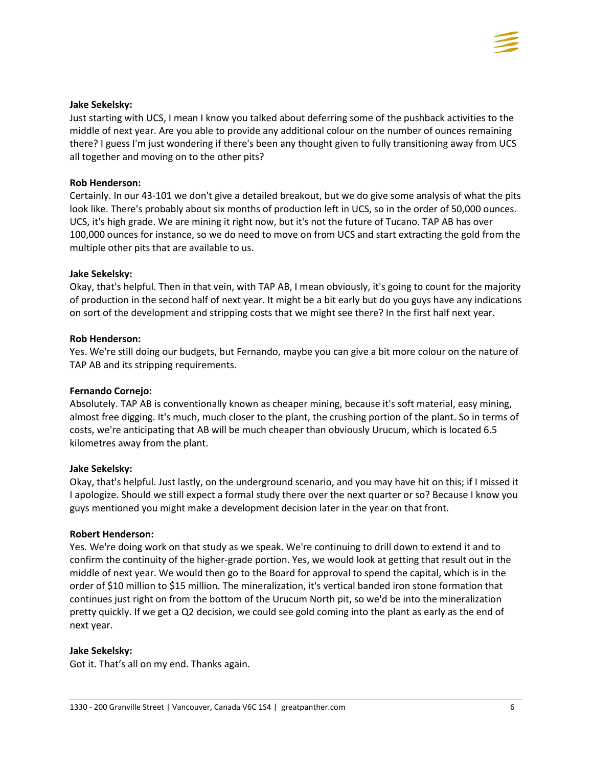

## **Jake Sekelsky:**

Just starting with UCS, I mean I know you talked about deferring some of the pushback activities to the middle of next year. Are you able to provide any additional colour on the number of ounces remaining there? I guess I'm just wondering if there's been any thought given to fully transitioning away from UCS all together and moving on to the other pits?

## **Rob Henderson:**

Certainly. In our 43-101 we don't give a detailed breakout, but we do give some analysis of what the pits look like. There's probably about six months of production left in UCS, so in the order of 50,000 ounces. UCS, it's high grade. We are mining it right now, but it's not the future of Tucano. TAP AB has over 100,000 ounces for instance, so we do need to move on from UCS and start extracting the gold from the multiple other pits that are available to us.

## **Jake Sekelsky:**

Okay, that's helpful. Then in that vein, with TAP AB, I mean obviously, it's going to count for the majority of production in the second half of next year. It might be a bit early but do you guys have any indications on sort of the development and stripping costs that we might see there? In the first half next year.

## **Rob Henderson:**

Yes. We're still doing our budgets, but Fernando, maybe you can give a bit more colour on the nature of TAP AB and its stripping requirements.

### **Fernando Cornejo:**

Absolutely. TAP AB is conventionally known as cheaper mining, because it's soft material, easy mining, almost free digging. It's much, much closer to the plant, the crushing portion of the plant. So in terms of costs, we're anticipating that AB will be much cheaper than obviously Urucum, which is located 6.5 kilometres away from the plant.

### **Jake Sekelsky:**

Okay, that's helpful. Just lastly, on the underground scenario, and you may have hit on this; if I missed it I apologize. Should we still expect a formal study there over the next quarter or so? Because I know you guys mentioned you might make a development decision later in the year on that front.

### **Robert Henderson:**

Yes. We're doing work on that study as we speak. We're continuing to drill down to extend it and to confirm the continuity of the higher-grade portion. Yes, we would look at getting that result out in the middle of next year. We would then go to the Board for approval to spend the capital, which is in the order of \$10 million to \$15 million. The mineralization, it's vertical banded iron stone formation that continues just right on from the bottom of the Urucum North pit, so we'd be into the mineralization pretty quickly. If we get a Q2 decision, we could see gold coming into the plant as early as the end of next year.

### **Jake Sekelsky:**

Got it. That's all on my end. Thanks again.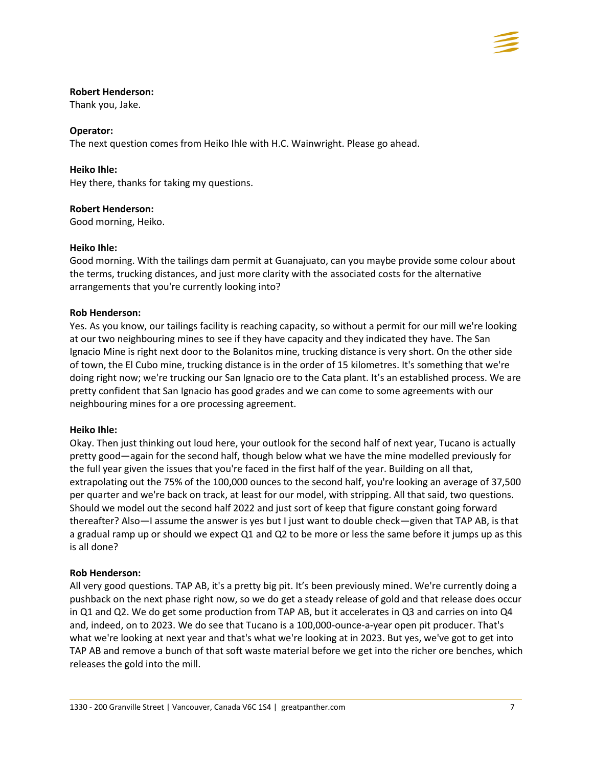

## **Robert Henderson:**

Thank you, Jake.

# **Operator:**

The next question comes from Heiko Ihle with H.C. Wainwright. Please go ahead.

# **Heiko Ihle:**

Hey there, thanks for taking my questions.

# **Robert Henderson:**

Good morning, Heiko.

# **Heiko Ihle:**

Good morning. With the tailings dam permit at Guanajuato, can you maybe provide some colour about the terms, trucking distances, and just more clarity with the associated costs for the alternative arrangements that you're currently looking into?

# **Rob Henderson:**

Yes. As you know, our tailings facility is reaching capacity, so without a permit for our mill we're looking at our two neighbouring mines to see if they have capacity and they indicated they have. The San Ignacio Mine is right next door to the Bolanitos mine, trucking distance is very short. On the other side of town, the El Cubo mine, trucking distance is in the order of 15 kilometres. It's something that we're doing right now; we're trucking our San Ignacio ore to the Cata plant. It's an established process. We are pretty confident that San Ignacio has good grades and we can come to some agreements with our neighbouring mines for a ore processing agreement.

# **Heiko Ihle:**

Okay. Then just thinking out loud here, your outlook for the second half of next year, Tucano is actually pretty good—again for the second half, though below what we have the mine modelled previously for the full year given the issues that you're faced in the first half of the year. Building on all that, extrapolating out the 75% of the 100,000 ounces to the second half, you're looking an average of 37,500 per quarter and we're back on track, at least for our model, with stripping. All that said, two questions. Should we model out the second half 2022 and just sort of keep that figure constant going forward thereafter? Also—I assume the answer is yes but I just want to double check—given that TAP AB, is that a gradual ramp up or should we expect Q1 and Q2 to be more or less the same before it jumps up as this is all done?

# **Rob Henderson:**

All very good questions. TAP AB, it's a pretty big pit. It's been previously mined. We're currently doing a pushback on the next phase right now, so we do get a steady release of gold and that release does occur in Q1 and Q2. We do get some production from TAP AB, but it accelerates in Q3 and carries on into Q4 and, indeed, on to 2023. We do see that Tucano is a 100,000-ounce-a-year open pit producer. That's what we're looking at next year and that's what we're looking at in 2023. But yes, we've got to get into TAP AB and remove a bunch of that soft waste material before we get into the richer ore benches, which releases the gold into the mill.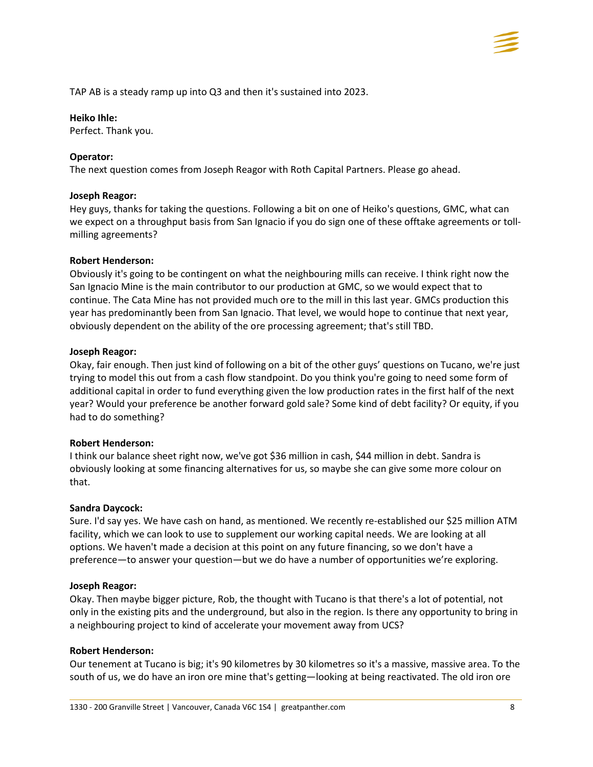TAP AB is a steady ramp up into Q3 and then it's sustained into 2023.

## **Heiko Ihle:**

Perfect. Thank you.

# **Operator:**

The next question comes from Joseph Reagor with Roth Capital Partners. Please go ahead.

# **Joseph Reagor:**

Hey guys, thanks for taking the questions. Following a bit on one of Heiko's questions, GMC, what can we expect on a throughput basis from San Ignacio if you do sign one of these offtake agreements or tollmilling agreements?

# **Robert Henderson:**

Obviously it's going to be contingent on what the neighbouring mills can receive. I think right now the San Ignacio Mine is the main contributor to our production at GMC, so we would expect that to continue. The Cata Mine has not provided much ore to the mill in this last year. GMCs production this year has predominantly been from San Ignacio. That level, we would hope to continue that next year, obviously dependent on the ability of the ore processing agreement; that's still TBD.

## **Joseph Reagor:**

Okay, fair enough. Then just kind of following on a bit of the other guys' questions on Tucano, we're just trying to model this out from a cash flow standpoint. Do you think you're going to need some form of additional capital in order to fund everything given the low production rates in the first half of the next year? Would your preference be another forward gold sale? Some kind of debt facility? Or equity, if you had to do something?

# **Robert Henderson:**

I think our balance sheet right now, we've got \$36 million in cash, \$44 million in debt. Sandra is obviously looking at some financing alternatives for us, so maybe she can give some more colour on that.

# **Sandra Daycock:**

Sure. I'd say yes. We have cash on hand, as mentioned. We recently re-established our \$25 million ATM facility, which we can look to use to supplement our working capital needs. We are looking at all options. We haven't made a decision at this point on any future financing, so we don't have a preference—to answer your question—but we do have a number of opportunities we're exploring.

# **Joseph Reagor:**

Okay. Then maybe bigger picture, Rob, the thought with Tucano is that there's a lot of potential, not only in the existing pits and the underground, but also in the region. Is there any opportunity to bring in a neighbouring project to kind of accelerate your movement away from UCS?

# **Robert Henderson:**

Our tenement at Tucano is big; it's 90 kilometres by 30 kilometres so it's a massive, massive area. To the south of us, we do have an iron ore mine that's getting—looking at being reactivated. The old iron ore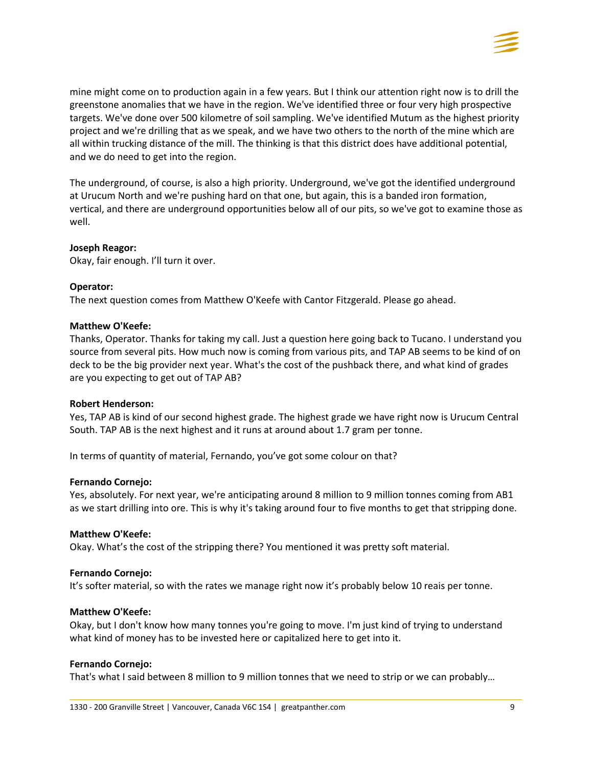

mine might come on to production again in a few years. But I think our attention right now is to drill the greenstone anomalies that we have in the region. We've identified three or four very high prospective targets. We've done over 500 kilometre of soil sampling. We've identified Mutum as the highest priority project and we're drilling that as we speak, and we have two others to the north of the mine which are all within trucking distance of the mill. The thinking is that this district does have additional potential, and we do need to get into the region.

The underground, of course, is also a high priority. Underground, we've got the identified underground at Urucum North and we're pushing hard on that one, but again, this is a banded iron formation, vertical, and there are underground opportunities below all of our pits, so we've got to examine those as well.

## **Joseph Reagor:**

Okay, fair enough. I'll turn it over.

## **Operator:**

The next question comes from Matthew O'Keefe with Cantor Fitzgerald. Please go ahead.

### **Matthew O'Keefe:**

Thanks, Operator. Thanks for taking my call. Just a question here going back to Tucano. I understand you source from several pits. How much now is coming from various pits, and TAP AB seems to be kind of on deck to be the big provider next year. What's the cost of the pushback there, and what kind of grades are you expecting to get out of TAP AB?

### **Robert Henderson:**

Yes, TAP AB is kind of our second highest grade. The highest grade we have right now is Urucum Central South. TAP AB is the next highest and it runs at around about 1.7 gram per tonne.

In terms of quantity of material, Fernando, you've got some colour on that?

### **Fernando Cornejo:**

Yes, absolutely. For next year, we're anticipating around 8 million to 9 million tonnes coming from AB1 as we start drilling into ore. This is why it's taking around four to five months to get that stripping done.

### **Matthew O'Keefe:**

Okay. What's the cost of the stripping there? You mentioned it was pretty soft material.

### **Fernando Cornejo:**

It's softer material, so with the rates we manage right now it's probably below 10 reais per tonne.

### **Matthew O'Keefe:**

Okay, but I don't know how many tonnes you're going to move. I'm just kind of trying to understand what kind of money has to be invested here or capitalized here to get into it.

### **Fernando Cornejo:**

That's what I said between 8 million to 9 million tonnes that we need to strip or we can probably…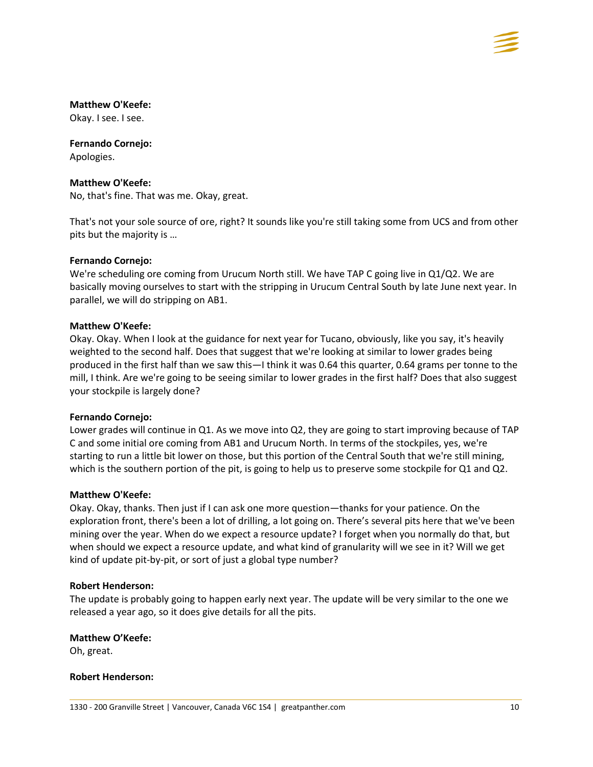

## **Matthew O'Keefe:**

Okay. I see. I see.

# **Fernando Cornejo:**

Apologies.

## **Matthew O'Keefe:**

No, that's fine. That was me. Okay, great.

That's not your sole source of ore, right? It sounds like you're still taking some from UCS and from other pits but the majority is …

## **Fernando Cornejo:**

We're scheduling ore coming from Urucum North still. We have TAP C going live in Q1/Q2. We are basically moving ourselves to start with the stripping in Urucum Central South by late June next year. In parallel, we will do stripping on AB1.

## **Matthew O'Keefe:**

Okay. Okay. When I look at the guidance for next year for Tucano, obviously, like you say, it's heavily weighted to the second half. Does that suggest that we're looking at similar to lower grades being produced in the first half than we saw this—I think it was 0.64 this quarter, 0.64 grams per tonne to the mill, I think. Are we're going to be seeing similar to lower grades in the first half? Does that also suggest your stockpile is largely done?

### **Fernando Cornejo:**

Lower grades will continue in Q1. As we move into Q2, they are going to start improving because of TAP C and some initial ore coming from AB1 and Urucum North. In terms of the stockpiles, yes, we're starting to run a little bit lower on those, but this portion of the Central South that we're still mining, which is the southern portion of the pit, is going to help us to preserve some stockpile for Q1 and Q2.

# **Matthew O'Keefe:**

Okay. Okay, thanks. Then just if I can ask one more question—thanks for your patience. On the exploration front, there's been a lot of drilling, a lot going on. There's several pits here that we've been mining over the year. When do we expect a resource update? I forget when you normally do that, but when should we expect a resource update, and what kind of granularity will we see in it? Will we get kind of update pit-by-pit, or sort of just a global type number?

### **Robert Henderson:**

The update is probably going to happen early next year. The update will be very similar to the one we released a year ago, so it does give details for all the pits.

### **Matthew O'Keefe:**

Oh, great.

### **Robert Henderson:**